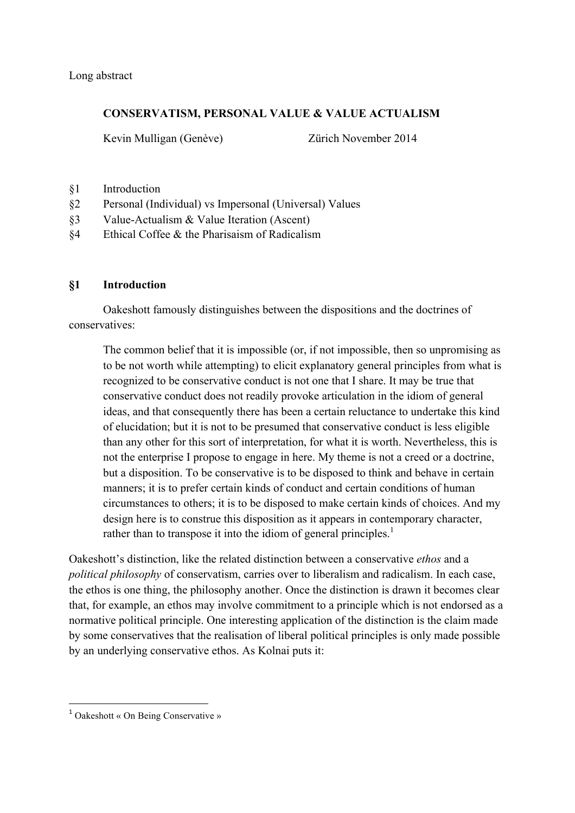Long abstract

## **CONSERVATISM, PERSONAL VALUE & VALUE ACTUALISM**

Kevin Mulligan (Genève) Zürich November 2014

- §1 Introduction
- §2 Personal (Individual) vs Impersonal (Universal) Values
- §3 Value-Actualism & Value Iteration (Ascent)
- §4 Ethical Coffee & the Pharisaism of Radicalism

## **§1 Introduction**

Oakeshott famously distinguishes between the dispositions and the doctrines of conservatives:

The common belief that it is impossible (or, if not impossible, then so unpromising as to be not worth while attempting) to elicit explanatory general principles from what is recognized to be conservative conduct is not one that I share. It may be true that conservative conduct does not readily provoke articulation in the idiom of general ideas, and that consequently there has been a certain reluctance to undertake this kind of elucidation; but it is not to be presumed that conservative conduct is less eligible than any other for this sort of interpretation, for what it is worth. Nevertheless, this is not the enterprise I propose to engage in here. My theme is not a creed or a doctrine, but a disposition. To be conservative is to be disposed to think and behave in certain manners; it is to prefer certain kinds of conduct and certain conditions of human circumstances to others; it is to be disposed to make certain kinds of choices. And my design here is to construe this disposition as it appears in contemporary character, rather than to transpose it into the idiom of general principles.<sup>1</sup>

Oakeshott's distinction, like the related distinction between a conservative *ethos* and a *political philosophy* of conservatism, carries over to liberalism and radicalism. In each case, the ethos is one thing, the philosophy another. Once the distinction is drawn it becomes clear that, for example, an ethos may involve commitment to a principle which is not endorsed as a normative political principle. One interesting application of the distinction is the claim made by some conservatives that the realisation of liberal political principles is only made possible by an underlying conservative ethos. As Kolnai puts it:

<sup>&</sup>lt;sup>1</sup> Oakeshott « On Being Conservative »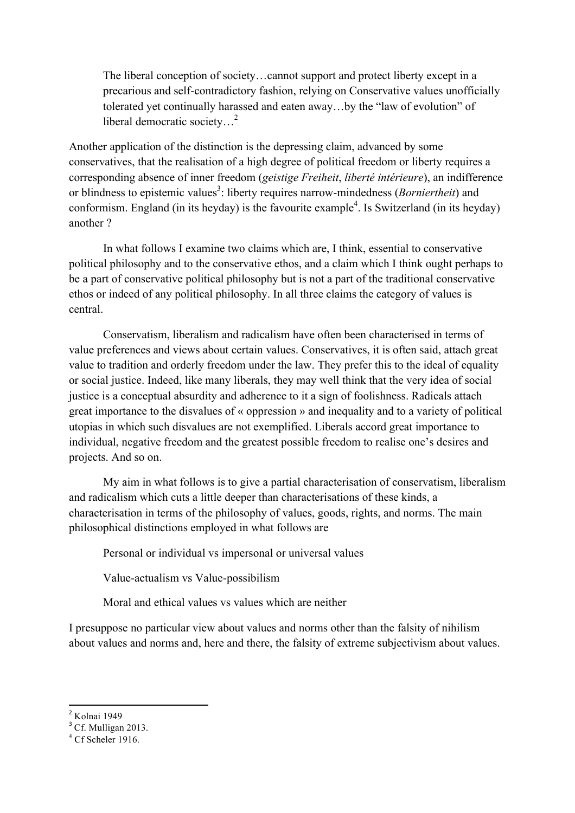The liberal conception of society…cannot support and protect liberty except in a precarious and self-contradictory fashion, relying on Conservative values unofficially tolerated yet continually harassed and eaten away…by the "law of evolution" of liberal democratic society…2

Another application of the distinction is the depressing claim, advanced by some conservatives, that the realisation of a high degree of political freedom or liberty requires a corresponding absence of inner freedom (*geistige Freiheit*, *liberté intérieure*), an indifference or blindness to epistemic values<sup>3</sup>: liberty requires narrow-mindedness (*Borniertheit*) and conformism. England (in its heyday) is the favourite example<sup>4</sup>. Is Switzerland (in its heyday) another ?

In what follows I examine two claims which are, I think, essential to conservative political philosophy and to the conservative ethos, and a claim which I think ought perhaps to be a part of conservative political philosophy but is not a part of the traditional conservative ethos or indeed of any political philosophy. In all three claims the category of values is central.

Conservatism, liberalism and radicalism have often been characterised in terms of value preferences and views about certain values. Conservatives, it is often said, attach great value to tradition and orderly freedom under the law. They prefer this to the ideal of equality or social justice. Indeed, like many liberals, they may well think that the very idea of social justice is a conceptual absurdity and adherence to it a sign of foolishness. Radicals attach great importance to the disvalues of « oppression » and inequality and to a variety of political utopias in which such disvalues are not exemplified. Liberals accord great importance to individual, negative freedom and the greatest possible freedom to realise one's desires and projects. And so on.

My aim in what follows is to give a partial characterisation of conservatism, liberalism and radicalism which cuts a little deeper than characterisations of these kinds, a characterisation in terms of the philosophy of values, goods, rights, and norms. The main philosophical distinctions employed in what follows are

Personal or individual vs impersonal or universal values

Value-actualism vs Value-possibilism

Moral and ethical values vs values which are neither

I presuppose no particular view about values and norms other than the falsity of nihilism about values and norms and, here and there, the falsity of extreme subjectivism about values.

 $<sup>2</sup>$  Kolnai 1949</sup>

<sup>&</sup>lt;sup>3</sup> Cf. Mulligan 2013.

 $4$  Cf Scheler 1916.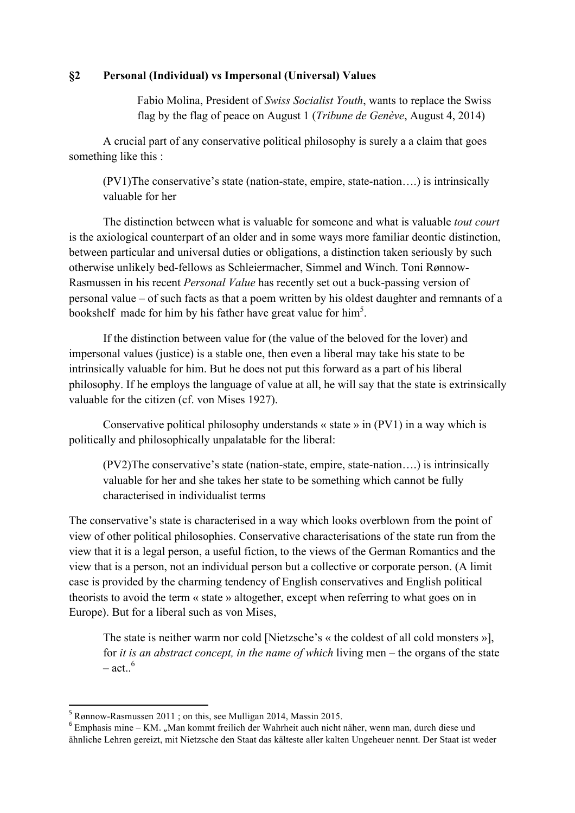## **§2 Personal (Individual) vs Impersonal (Universal) Values**

Fabio Molina, President of *Swiss Socialist Youth*, wants to replace the Swiss flag by the flag of peace on August 1 (*Tribune de Genève*, August 4, 2014)

A crucial part of any conservative political philosophy is surely a a claim that goes something like this :

(PV1)The conservative's state (nation-state, empire, state-nation….) is intrinsically valuable for her

The distinction between what is valuable for someone and what is valuable *tout court* is the axiological counterpart of an older and in some ways more familiar deontic distinction, between particular and universal duties or obligations, a distinction taken seriously by such otherwise unlikely bed-fellows as Schleiermacher, Simmel and Winch. Toni Rønnow-Rasmussen in his recent *Personal Value* has recently set out a buck-passing version of personal value – of such facts as that a poem written by his oldest daughter and remnants of a bookshelf made for him by his father have great value for  $\text{him}^5$ .

If the distinction between value for (the value of the beloved for the lover) and impersonal values (justice) is a stable one, then even a liberal may take his state to be intrinsically valuable for him. But he does not put this forward as a part of his liberal philosophy. If he employs the language of value at all, he will say that the state is extrinsically valuable for the citizen (cf. von Mises 1927).

Conservative political philosophy understands « state » in (PV1) in a way which is politically and philosophically unpalatable for the liberal:

(PV2)The conservative's state (nation-state, empire, state-nation….) is intrinsically valuable for her and she takes her state to be something which cannot be fully characterised in individualist terms

The conservative's state is characterised in a way which looks overblown from the point of view of other political philosophies. Conservative characterisations of the state run from the view that it is a legal person, a useful fiction, to the views of the German Romantics and the view that is a person, not an individual person but a collective or corporate person. (A limit case is provided by the charming tendency of English conservatives and English political theorists to avoid the term « state » altogether, except when referring to what goes on in Europe). But for a liberal such as von Mises,

The state is neither warm nor cold [Nietzsche's « the coldest of all cold monsters »], for *it is an abstract concept, in the name of which* living men – the organs of the state  $-$  act..<sup>6</sup>

<sup>5</sup> Rønnow-Rasmussen 2011 ; on this, see Mulligan 2014, Massin 2015.

 $6$  Emphasis mine – KM. "Man kommt freilich der Wahrheit auch nicht näher, wenn man, durch diese und ähnliche Lehren gereizt, mit Nietzsche den Staat das kälteste aller kalten Ungeheuer nennt. Der Staat ist weder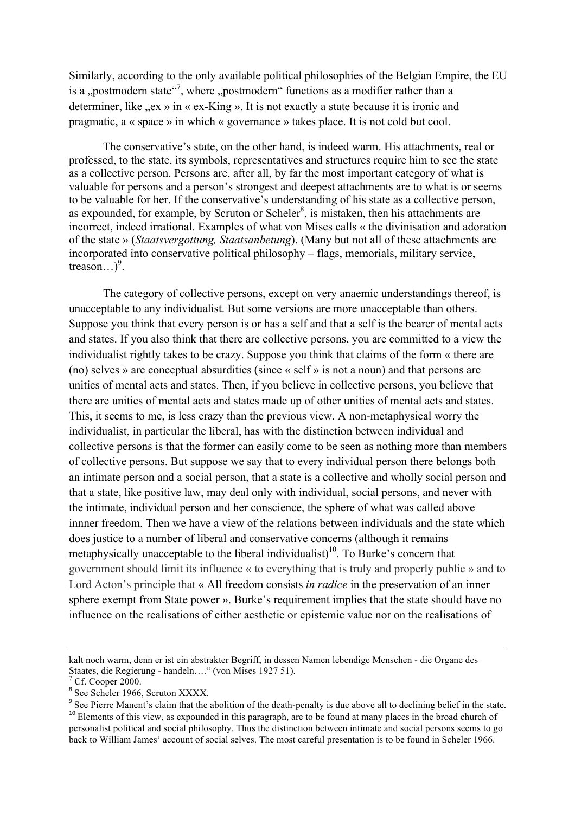Similarly, according to the only available political philosophies of the Belgian Empire, the EU is a "postmodern state"<sup>7</sup>, where "postmodern" functions as a modifier rather than a determiner, like  $\alpha$ , ex » in « ex-King ». It is not exactly a state because it is ironic and pragmatic, a « space » in which « governance » takes place. It is not cold but cool.

The conservative's state, on the other hand, is indeed warm. His attachments, real or professed, to the state, its symbols, representatives and structures require him to see the state as a collective person. Persons are, after all, by far the most important category of what is valuable for persons and a person's strongest and deepest attachments are to what is or seems to be valuable for her. If the conservative's understanding of his state as a collective person, as expounded, for example, by Scruton or Scheler $\delta$ , is mistaken, then his attachments are incorrect, indeed irrational. Examples of what von Mises calls « the divinisation and adoration of the state » (*Staatsvergottung, Staatsanbetung*). (Many but not all of these attachments are incorporated into conservative political philosophy – flags, memorials, military service, treason... $)^9$ .

The category of collective persons, except on very anaemic understandings thereof, is unacceptable to any individualist. But some versions are more unacceptable than others. Suppose you think that every person is or has a self and that a self is the bearer of mental acts and states. If you also think that there are collective persons, you are committed to a view the individualist rightly takes to be crazy. Suppose you think that claims of the form « there are (no) selves » are conceptual absurdities (since « self » is not a noun) and that persons are unities of mental acts and states. Then, if you believe in collective persons, you believe that there are unities of mental acts and states made up of other unities of mental acts and states. This, it seems to me, is less crazy than the previous view. A non-metaphysical worry the individualist, in particular the liberal, has with the distinction between individual and collective persons is that the former can easily come to be seen as nothing more than members of collective persons. But suppose we say that to every individual person there belongs both an intimate person and a social person, that a state is a collective and wholly social person and that a state, like positive law, may deal only with individual, social persons, and never with the intimate, individual person and her conscience, the sphere of what was called above innner freedom. Then we have a view of the relations between individuals and the state which does justice to a number of liberal and conservative concerns (although it remains metaphysically unacceptable to the liberal individualist)<sup>10</sup>. To Burke's concern that government should limit its influence « to everything that is truly and properly public » and to Lord Acton's principle that « All freedom consists *in radice* in the preservation of an inner sphere exempt from State power ». Burke's requirement implies that the state should have no influence on the realisations of either aesthetic or epistemic value nor on the realisations of

<u> 1989 - Andrea Santa Andrea Andrea Andrea Andrea Andrea Andrea Andrea Andrea Andrea Andrea Andrea Andrea Andr</u>

kalt noch warm, denn er ist ein abstrakter Begriff, in dessen Namen lebendige Menschen - die Organe des Staates, die Regierung - handeln...." (von Mises 1927 51).<br><sup>7</sup> Cf. Cooper 2000.<br><sup>8</sup> See Scheler 1966, Scruton XXXX.

<sup>&</sup>lt;sup>9</sup> See Pierre Manent's claim that the abolition of the death-penalty is due above all to declining belief in the state. <sup>10</sup> Elements of this view, as expounded in this paragraph, are to be found at many places in the broad church of personalist political and social philosophy. Thus the distinction between intimate and social persons seems to go back to William James' account of social selves. The most careful presentation is to be found in Scheler 1966.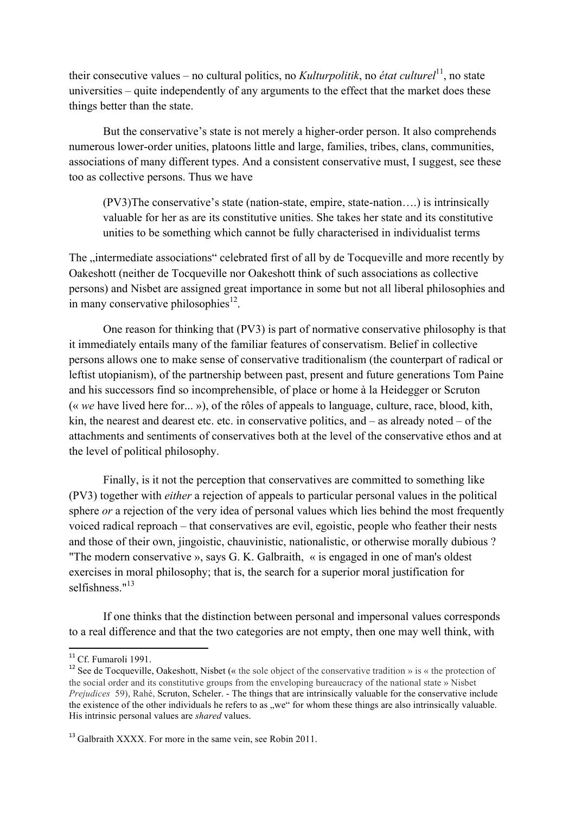their consecutive values – no cultural politics, no *Kulturpolitik*, no *état culturel*<sup>11</sup>, no state universities – quite independently of any arguments to the effect that the market does these things better than the state.

But the conservative's state is not merely a higher-order person. It also comprehends numerous lower-order unities, platoons little and large, families, tribes, clans, communities, associations of many different types. And a consistent conservative must, I suggest, see these too as collective persons. Thus we have

(PV3)The conservative's state (nation-state, empire, state-nation….) is intrinsically valuable for her as are its constitutive unities. She takes her state and its constitutive unities to be something which cannot be fully characterised in individualist terms

The "intermediate associations" celebrated first of all by de Tocqueville and more recently by Oakeshott (neither de Tocqueville nor Oakeshott think of such associations as collective persons) and Nisbet are assigned great importance in some but not all liberal philosophies and in many conservative philosophies $^{12}$ .

One reason for thinking that (PV3) is part of normative conservative philosophy is that it immediately entails many of the familiar features of conservatism. Belief in collective persons allows one to make sense of conservative traditionalism (the counterpart of radical or leftist utopianism), of the partnership between past, present and future generations Tom Paine and his successors find so incomprehensible, of place or home à la Heidegger or Scruton (« *we* have lived here for... »), of the rôles of appeals to language, culture, race, blood, kith, kin, the nearest and dearest etc. etc. in conservative politics, and – as already noted – of the attachments and sentiments of conservatives both at the level of the conservative ethos and at the level of political philosophy.

Finally, is it not the perception that conservatives are committed to something like (PV3) together with *either* a rejection of appeals to particular personal values in the political sphere *or* a rejection of the very idea of personal values which lies behind the most frequently voiced radical reproach – that conservatives are evil, egoistic, people who feather their nests and those of their own, jingoistic, chauvinistic, nationalistic, or otherwise morally dubious ? "The modern conservative », says G. K. Galbraith, « is engaged in one of man's oldest exercises in moral philosophy; that is, the search for a superior moral justification for selfishness."<sup>13</sup>

If one thinks that the distinction between personal and impersonal values corresponds to a real difference and that the two categories are not empty, then one may well think, with

<sup>&</sup>lt;sup>11</sup> Cf. Fumaroli 1991.

<sup>&</sup>lt;sup>12</sup> See de Tocqueville, Oakeshott, Nisbet (« the sole object of the conservative tradition » is « the protection of the social order and its constitutive groups from the enveloping bureaucracy of the national state » Nisbet *Prejudices* 59), Rahé, Scruton, Scheler. - The things that are intrinsically valuable for the conservative include the existence of the other individuals he refers to as "we" for whom these things are also intrinsically valuable. His intrinsic personal values are *shared* values.

 $13$  Galbraith XXXX. For more in the same vein, see Robin 2011.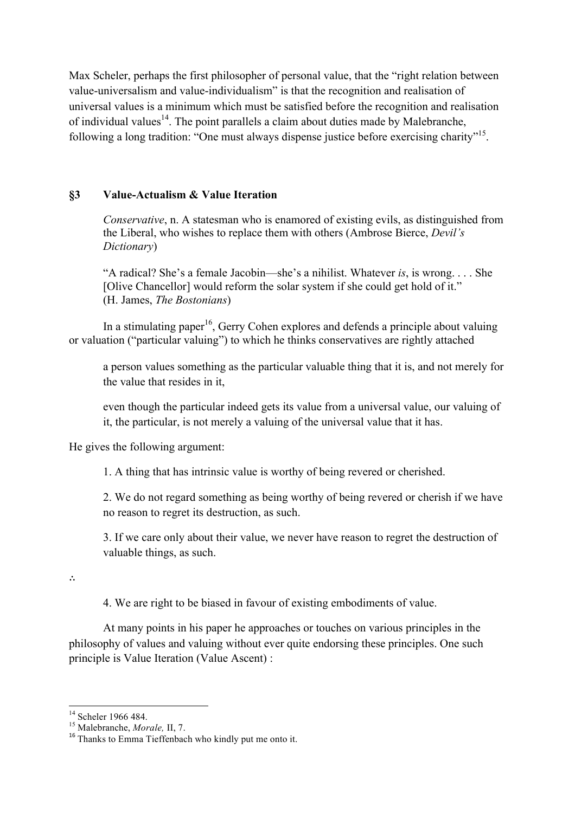Max Scheler, perhaps the first philosopher of personal value, that the "right relation between value-universalism and value-individualism" is that the recognition and realisation of universal values is a minimum which must be satisfied before the recognition and realisation of individual values<sup>14</sup>. The point parallels a claim about duties made by Malebranche, following a long tradition: "One must always dispense justice before exercising charity"<sup>15</sup>.

# **§3 Value-Actualism & Value Iteration**

*Conservative*, n. A statesman who is enamored of existing evils, as distinguished from the Liberal, who wishes to replace them with others (Ambrose Bierce, *Devil's Dictionary*)

"A radical? She's a female Jacobin—she's a nihilist. Whatever *is*, is wrong. . . . She [Olive Chancellor] would reform the solar system if she could get hold of it." (H. James, *The Bostonians*)

In a stimulating paper<sup>16</sup>, Gerry Cohen explores and defends a principle about valuing or valuation ("particular valuing") to which he thinks conservatives are rightly attached

a person values something as the particular valuable thing that it is, and not merely for the value that resides in it,

even though the particular indeed gets its value from a universal value, our valuing of it, the particular, is not merely a valuing of the universal value that it has.

He gives the following argument:

1. A thing that has intrinsic value is worthy of being revered or cherished.

2. We do not regard something as being worthy of being revered or cherish if we have no reason to regret its destruction, as such.

3. If we care only about their value, we never have reason to regret the destruction of valuable things, as such.

∴

4. We are right to be biased in favour of existing embodiments of value.

At many points in his paper he approaches or touches on various principles in the philosophy of values and valuing without ever quite endorsing these principles. One such principle is Value Iteration (Value Ascent) :

<sup>&</sup>lt;sup>14</sup> Scheler 1966 484.

<sup>&</sup>lt;sup>15</sup> Malebranche, *Morale*, II, 7.<br><sup>16</sup> Thanks to Emma Tieffenbach who kindly put me onto it.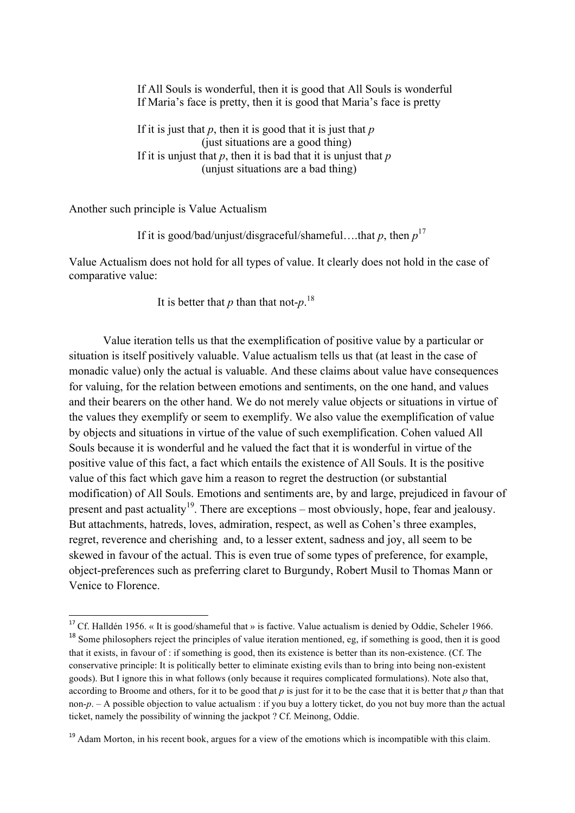If All Souls is wonderful, then it is good that All Souls is wonderful If Maria's face is pretty, then it is good that Maria's face is pretty

If it is just that  $p$ , then it is good that it is just that  $p$ (just situations are a good thing) If it is unjust that  $p$ , then it is bad that it is unjust that  $p$ (unjust situations are a bad thing)

Another such principle is Value Actualism

<u> 1989 - Johann Stein, fransk politiker (d. 1989)</u>

If it is good/bad/unjust/disgraceful/shameful….that *p*, then *p* 17

Value Actualism does not hold for all types of value. It clearly does not hold in the case of comparative value:

It is better that *p* than that not- $p$ <sup>18</sup>

Value iteration tells us that the exemplification of positive value by a particular or situation is itself positively valuable. Value actualism tells us that (at least in the case of monadic value) only the actual is valuable. And these claims about value have consequences for valuing, for the relation between emotions and sentiments, on the one hand, and values and their bearers on the other hand. We do not merely value objects or situations in virtue of the values they exemplify or seem to exemplify. We also value the exemplification of value by objects and situations in virtue of the value of such exemplification. Cohen valued All Souls because it is wonderful and he valued the fact that it is wonderful in virtue of the positive value of this fact, a fact which entails the existence of All Souls. It is the positive value of this fact which gave him a reason to regret the destruction (or substantial modification) of All Souls. Emotions and sentiments are, by and large, prejudiced in favour of present and past actuality<sup>19</sup>. There are exceptions – most obviously, hope, fear and jealousy. But attachments, hatreds, loves, admiration, respect, as well as Cohen's three examples, regret, reverence and cherishing and, to a lesser extent, sadness and joy, all seem to be skewed in favour of the actual. This is even true of some types of preference, for example, object-preferences such as preferring claret to Burgundy, Robert Musil to Thomas Mann or Venice to Florence.

<sup>&</sup>lt;sup>17</sup> Cf. Halldén 1956. « It is good/shameful that » is factive. Value actualism is denied by Oddie, Scheler 1966. <sup>18</sup> Some philosophers reject the principles of value iteration mentioned, eg, if something is good, then it is good that it exists, in favour of : if something is good, then its existence is better than its non-existence. (Cf. The conservative principle: It is politically better to eliminate existing evils than to bring into being non-existent goods). But I ignore this in what follows (only because it requires complicated formulations). Note also that, according to Broome and others, for it to be good that *p* is just for it to be the case that it is better that *p* than that non-*p*. – A possible objection to value actualism : if you buy a lottery ticket, do you not buy more than the actual ticket, namely the possibility of winning the jackpot ? Cf. Meinong, Oddie.

<sup>&</sup>lt;sup>19</sup> Adam Morton, in his recent book, argues for a view of the emotions which is incompatible with this claim.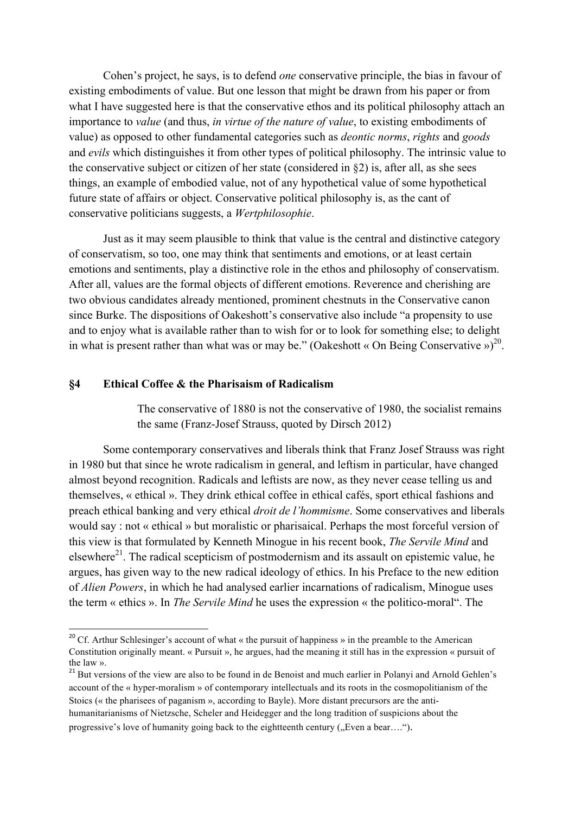Cohen's project, he says, is to defend *one* conservative principle, the bias in favour of existing embodiments of value. But one lesson that might be drawn from his paper or from what I have suggested here is that the conservative ethos and its political philosophy attach an importance to *value* (and thus, *in virtue of the nature of value*, to existing embodiments of value) as opposed to other fundamental categories such as *deontic norms*, *rights* and *goods* and *evils* which distinguishes it from other types of political philosophy. The intrinsic value to the conservative subject or citizen of her state (considered in §2) is, after all, as she sees things, an example of embodied value, not of any hypothetical value of some hypothetical future state of affairs or object. Conservative political philosophy is, as the cant of conservative politicians suggests, a *Wertphilosophie*.

Just as it may seem plausible to think that value is the central and distinctive category of conservatism, so too, one may think that sentiments and emotions, or at least certain emotions and sentiments, play a distinctive role in the ethos and philosophy of conservatism. After all, values are the formal objects of different emotions. Reverence and cherishing are two obvious candidates already mentioned, prominent chestnuts in the Conservative canon since Burke. The dispositions of Oakeshott's conservative also include "a propensity to use and to enjoy what is available rather than to wish for or to look for something else; to delight in what is present rather than what was or may be." (Oakeshott « On Being Conservative »)<sup>20</sup>.

#### **§4 Ethical Coffee & the Pharisaism of Radicalism**

<u> 1989 - Johann Stein, fransk politiker (d. 1989)</u>

The conservative of 1880 is not the conservative of 1980, the socialist remains the same (Franz-Josef Strauss, quoted by Dirsch 2012)

Some contemporary conservatives and liberals think that Franz Josef Strauss was right in 1980 but that since he wrote radicalism in general, and leftism in particular, have changed almost beyond recognition. Radicals and leftists are now, as they never cease telling us and themselves, « ethical ». They drink ethical coffee in ethical cafés, sport ethical fashions and preach ethical banking and very ethical *droit de l'hommisme*. Some conservatives and liberals would say : not « ethical » but moralistic or pharisaical. Perhaps the most forceful version of this view is that formulated by Kenneth Minogue in his recent book, *The Servile Mind* and elsewhere<sup>21</sup>. The radical scepticism of postmodernism and its assault on epistemic value, he argues, has given way to the new radical ideology of ethics. In his Preface to the new edition of *Alien Powers*, in which he had analysed earlier incarnations of radicalism, Minogue uses the term « ethics ». In *The Servile Mind* he uses the expression « the politico-moral". The

<sup>&</sup>lt;sup>20</sup> Cf. Arthur Schlesinger's account of what « the pursuit of happiness » in the preamble to the American Constitution originally meant. « Pursuit », he argues, had the meaning it still has in the expression « pursuit of the law ».

 $21$  But versions of the view are also to be found in de Benoist and much earlier in Polanyi and Arnold Gehlen's account of the « hyper-moralism » of contemporary intellectuals and its roots in the cosmopolitianism of the Stoics (« the pharisees of paganism », according to Bayle). More distant precursors are the antihumanitarianisms of Nietzsche, Scheler and Heidegger and the long tradition of suspicions about the progressive's love of humanity going back to the eightteenth century ("Even a bear....").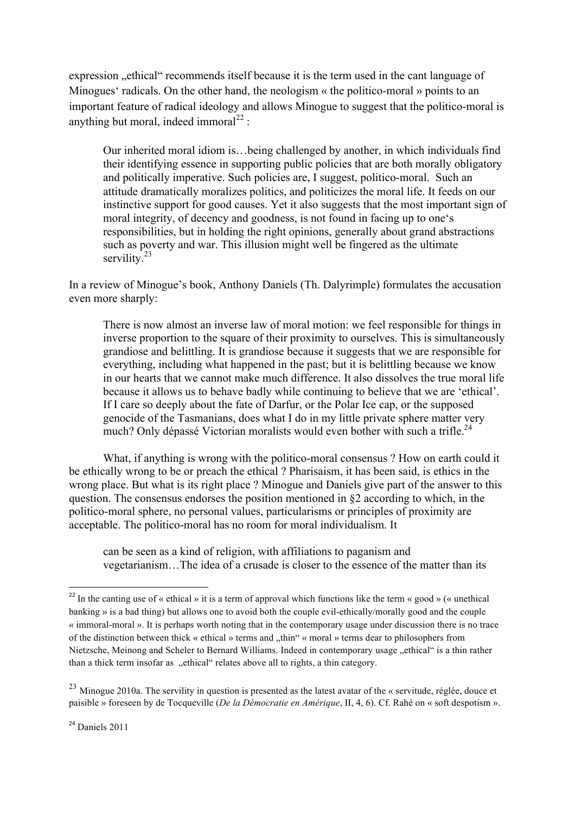expression "ethical" recommends itself because it is the term used in the cant language of Minogues' radicals. On the other hand, the neologism « the politico-moral » points to an important feature of radical ideology and allows Minogue to suggest that the politico-moral is anything but moral, indeed immoral<sup>22</sup> :

Our inherited moral idiom is…being challenged by another, in which individuals find their identifying essence in supporting public policies that are both morally obligatory and politically imperative. Such policies are, I suggest, politico-moral. Such an attitude dramatically moralizes politics, and politicizes the moral life. It feeds on our instinctive support for good causes. Yet it also suggests that the most important sign of moral integrity, of decency and goodness, is not found in facing up to one's responsibilities, but in holding the right opinions, generally about grand abstractions such as poverty and war. This illusion might well be fingered as the ultimate servility.<sup>23</sup>

In a review of Minogue's book, Anthony Daniels (Th. Dalyrimple) formulates the accusation even more sharply:

There is now almost an inverse law of moral motion: we feel responsible for things in inverse proportion to the square of their proximity to ourselves. This is simultaneously grandiose and belittling. It is grandiose because it suggests that we are responsible for everything, including what happened in the past; but it is belittling because we know in our hearts that we cannot make much difference. It also dissolves the true moral life because it allows us to behave badly while continuing to believe that we are 'ethical'. If I care so deeply about the fate of Darfur, or the Polar Ice cap, or the supposed genocide of the Tasmanians, does what I do in my little private sphere matter very much? Only dépassé Victorian moralists would even bother with such a trifle.<sup>24</sup>

What, if anything is wrong with the politico-moral consensus ? How on earth could it be ethically wrong to be or preach the ethical ? Pharisaism, it has been said, is ethics in the wrong place. But what is its right place ? Minogue and Daniels give part of the answer to this question. The consensus endorses the position mentioned in §2 according to which, in the politico-moral sphere, no personal values, particularisms or principles of proximity are acceptable. The politico-moral has no room for moral individualism. It

can be seen as a kind of religion, with affiliations to paganism and vegetarianism…The idea of a crusade is closer to the essence of the matter than its

<sup>&</sup>lt;sup>22</sup> In the canting use of « ethical » it is a term of approval which functions like the term « good » (« unethical banking » is a bad thing) but allows one to avoid both the couple evil-ethically/morally good and the couple « immoral-moral ». It is perhaps worth noting that in the contemporary usage under discussion there is no trace of the distinction between thick « ethical » terms and "thin" « moral » terms dear to philosophers from Nietzsche, Meinong and Scheler to Bernard Williams. Indeed in contemporary usage "ethical" is a thin rather than a thick term insofar as "ethical" relates above all to rights, a thin category.

 $^{23}$  Minogue 2010a. The servility in question is presented as the latest avatar of the « servitude, réglée, douce et paisible » foreseen by de Tocqueville (*De la Démocratie en Amérique*, II, 4, 6). Cf. Rahé on « soft despotism ».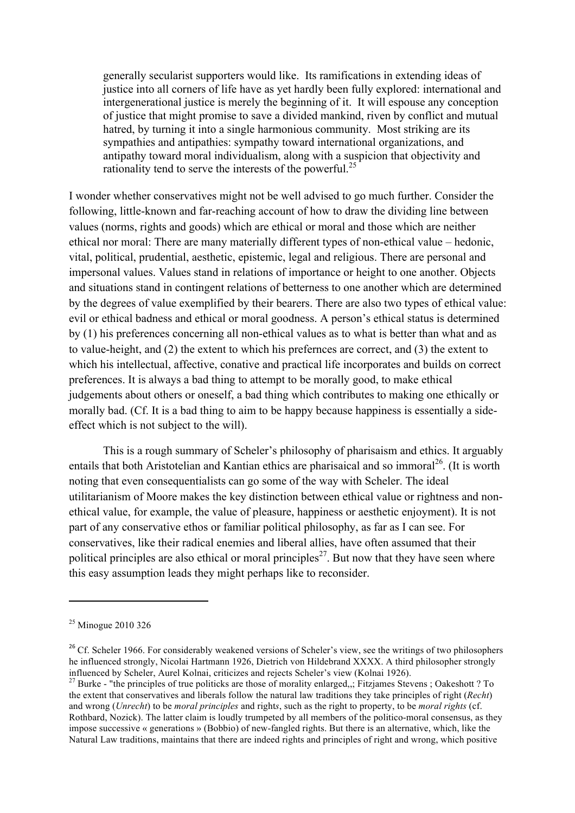generally secularist supporters would like. Its ramifications in extending ideas of justice into all corners of life have as yet hardly been fully explored: international and intergenerational justice is merely the beginning of it. It will espouse any conception of justice that might promise to save a divided mankind, riven by conflict and mutual hatred, by turning it into a single harmonious community. Most striking are its sympathies and antipathies: sympathy toward international organizations, and antipathy toward moral individualism, along with a suspicion that objectivity and rationality tend to serve the interests of the powerful.<sup>25</sup>

I wonder whether conservatives might not be well advised to go much further. Consider the following, little-known and far-reaching account of how to draw the dividing line between values (norms, rights and goods) which are ethical or moral and those which are neither ethical nor moral: There are many materially different types of non-ethical value – hedonic, vital, political, prudential, aesthetic, epistemic, legal and religious. There are personal and impersonal values. Values stand in relations of importance or height to one another. Objects and situations stand in contingent relations of betterness to one another which are determined by the degrees of value exemplified by their bearers. There are also two types of ethical value: evil or ethical badness and ethical or moral goodness. A person's ethical status is determined by (1) his preferences concerning all non-ethical values as to what is better than what and as to value-height, and (2) the extent to which his prefernces are correct, and (3) the extent to which his intellectual, affective, conative and practical life incorporates and builds on correct preferences. It is always a bad thing to attempt to be morally good, to make ethical judgements about others or oneself, a bad thing which contributes to making one ethically or morally bad. (Cf. It is a bad thing to aim to be happy because happiness is essentially a sideeffect which is not subject to the will).

This is a rough summary of Scheler's philosophy of pharisaism and ethics. It arguably entails that both Aristotelian and Kantian ethics are pharisaical and so immoral<sup>26</sup>. (It is worth noting that even consequentialists can go some of the way with Scheler. The ideal utilitarianism of Moore makes the key distinction between ethical value or rightness and nonethical value, for example, the value of pleasure, happiness or aesthetic enjoyment). It is not part of any conservative ethos or familiar political philosophy, as far as I can see. For conservatives, like their radical enemies and liberal allies, have often assumed that their political principles are also ethical or moral principles<sup>27</sup>. But now that they have seen where this easy assumption leads they might perhaps like to reconsider.

 

<sup>&</sup>lt;sup>25</sup> Minogue 2010 326

<sup>&</sup>lt;sup>26</sup> Cf. Scheler 1966. For considerably weakened versions of Scheler's view, see the writings of two philosophers he influenced strongly, Nicolai Hartmann 1926, Dietrich von Hildebrand XXXX. A third philosopher strongly influenced by Scheler, Aurel Kolnai, criticizes and rejects Scheler's view (Kolnai 1926).<br><sup>27</sup> Burke - "the principles of true politicks are those of morality enlarged,,; Fitzjames Stevens ; Oakeshott ? To

the extent that conservatives and liberals follow the natural law traditions they take principles of right (*Recht*) and wrong (*Unrecht*) to be *moral principles* and right*s*, such as the right to property, to be *moral rights* (cf. Rothbard, Nozick). The latter claim is loudly trumpeted by all members of the politico-moral consensus, as they impose successive « generations » (Bobbio) of new-fangled rights. But there is an alternative, which, like the Natural Law traditions, maintains that there are indeed rights and principles of right and wrong, which positive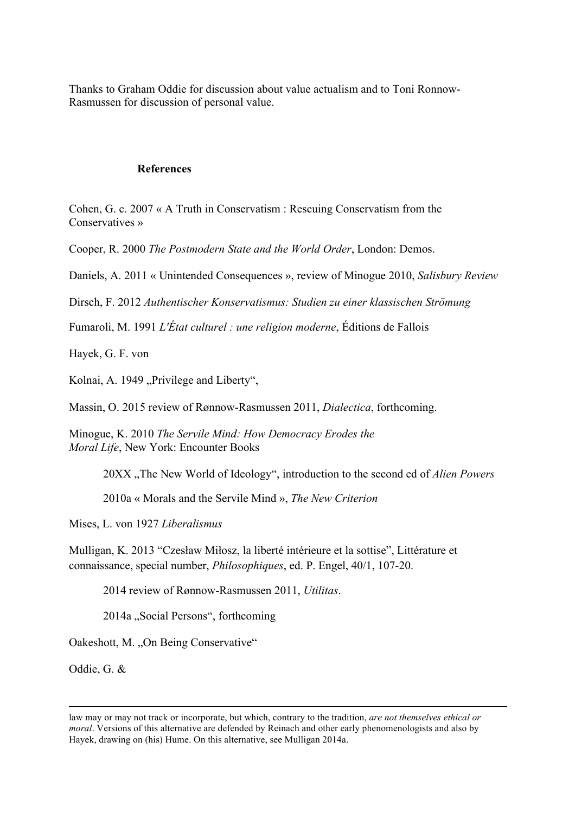Thanks to Graham Oddie for discussion about value actualism and to Toni Ronnow-Rasmussen for discussion of personal value.

### **References**

Cohen, G. c. 2007 « A Truth in Conservatism : Rescuing Conservatism from the Conservatives »

Cooper, R. 2000 *The Postmodern State and the World Order*, London: Demos.

Daniels, A. 2011 « Unintended Consequences », review of Minogue 2010, *Salisbury Review*

Dirsch, F. 2012 *Authentischer Konservatismus: Studien zu einer klassischen Strömung*

Fumaroli, M. 1991 *L'État culturel : une religion moderne*, Éditions de Fallois

Hayek, G. F. von

Kolnai, A. 1949 "Privilege and Liberty",

Massin, O. 2015 review of Rønnow-Rasmussen 2011, *Dialectica*, forthcoming.

Minogue, K. 2010 *The Servile Mind: How Democracy Erodes the Moral Life*, New York: Encounter Books

20XX "The New World of Ideology", introduction to the second ed of *Alien Powers* 

2010a « Morals and the Servile Mind », *The New Criterion*

Mises, L. von 1927 *Liberalismus*

Mulligan, K. 2013 "Czesław Miłosz, la liberté intérieure et la sottise", Littérature et connaissance, special number, *Philosophiques*, ed. P. Engel, 40/1, 107-20.

2014 review of Rønnow-Rasmussen 2011, *Utilitas*.

2014a "Social Persons", forthcoming

Oakeshott, M. "On Being Conservative"

Oddie, G. &

<u> 1989 - Andrea Santa Andrea Andrea Andrea Andrea Andrea Andrea Andrea Andrea Andrea Andrea Andrea Andrea Andr</u>

law may or may not track or incorporate, but which, contrary to the tradition, *are not themselves ethical or moral*. Versions of this alternative are defended by Reinach and other early phenomenologists and also by Hayek, drawing on (his) Hume. On this alternative, see Mulligan 2014a.